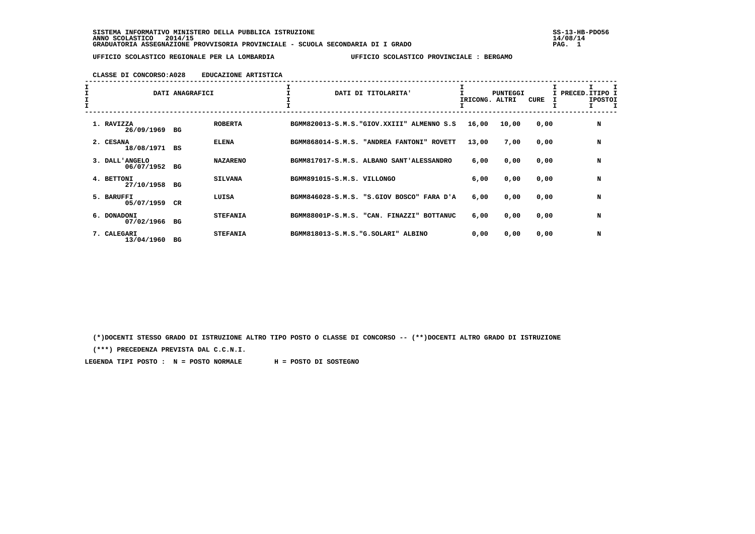**SISTEMA INFORMATIVO MINISTERO DELLA PUBBLICA ISTRUZIONE SS-13-HB-PDO56 ANNO SCOLASTICO 2014/15 14/08/14 GRADUATORIA ASSEGNAZIONE PROVVISORIA PROVINCIALE - SCUOLA SECONDARIA DI I GRADO PAG. 1**

 **UFFICIO SCOLASTICO REGIONALE PER LA LOMBARDIA UFFICIO SCOLASTICO PROVINCIALE : BERGAMO**

### **CLASSE DI CONCORSO:A028 EDUCAZIONE ARTISTICA**

| I<br>$\mathbf{I}$ |                              | DATI ANAGRAFICI |                 |                                     | DATI DI TITOLARITA'                        | IRICONG. | PUNTEGGI<br>ALTRI | CURE | I PRECED. ITIPO I<br><b>IPOSTOI</b> | $\mathbf I$ |
|-------------------|------------------------------|-----------------|-----------------|-------------------------------------|--------------------------------------------|----------|-------------------|------|-------------------------------------|-------------|
|                   | 1. RAVIZZA<br>26/09/1969     | вG              | <b>ROBERTA</b>  |                                     | BGMM820013-S.M.S. "GIOV.XXIII" ALMENNO S.S | 16,00    | 10,00             | 0,00 | N                                   |             |
|                   | 2. CESANA<br>18/08/1971      | BS              | <b>ELENA</b>    |                                     | BGMM868014-S.M.S. "ANDREA FANTONI" ROVETT  | 13,00    | 7,00              | 0,00 | N                                   |             |
|                   | 3. DALL'ANGELO<br>06/07/1952 | вG              | <b>NAZARENO</b> |                                     | BGMM817017-S.M.S. ALBANO SANT'ALESSANDRO   | 6,00     | 0,00              | 0,00 | N                                   |             |
|                   | 4. BETTONI<br>27/10/1958     | вG              | <b>SILVANA</b>  | BGMM891015-S.M.S. VILLONGO          |                                            | 6,00     | 0,00              | 0,00 | N                                   |             |
|                   | 5. BARUFFI<br>05/07/1959     | CR              | LUISA           |                                     | BGMM846028-S.M.S. "S.GIOV BOSCO" FARA D'A  | 6,00     | 0,00              | 0,00 | N                                   |             |
|                   | 6. DONADONI<br>07/02/1966    | вG              | <b>STEFANIA</b> | BGMM88001P-S.M.S.                   | "CAN. FINAZZI"<br><b>BOTTANUC</b>          | 6,00     | 0,00              | 0,00 | N                                   |             |
|                   | 7. CALEGARI<br>13/04/1960    | вG              | <b>STEFANIA</b> | BGMM818013-S.M.S. "G.SOLARI" ALBINO |                                            | 0,00     | 0,00              | 0,00 | N                                   |             |

 **(\*)DOCENTI STESSO GRADO DI ISTRUZIONE ALTRO TIPO POSTO O CLASSE DI CONCORSO -- (\*\*)DOCENTI ALTRO GRADO DI ISTRUZIONE**

 **(\*\*\*) PRECEDENZA PREVISTA DAL C.C.N.I.**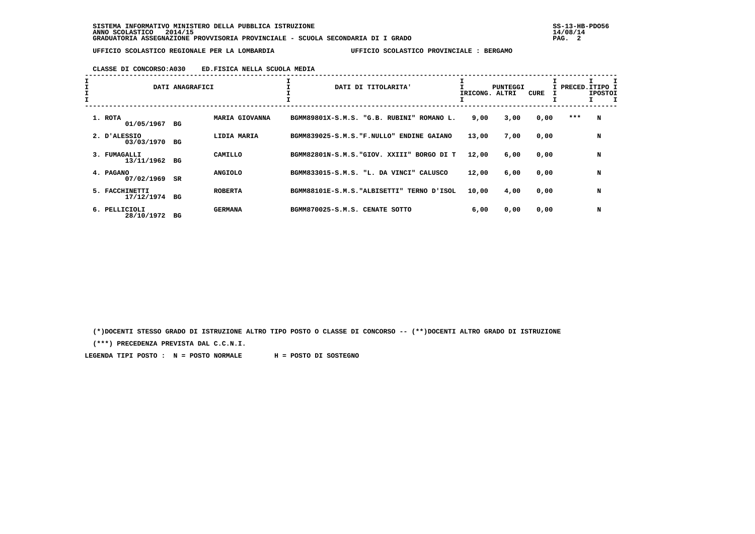# **CLASSE DI CONCORSO:A030 ED.FISICA NELLA SCUOLA MEDIA**

| I |                              | DATI ANAGRAFICI |                | DATI DI TITOLARITA'                           | IRICONG. | <b>PUNTEGGI</b><br>ALTRI | <b>CURE</b> |     | I PRECED.ITIPO I<br><b>IPOSTOI</b> |
|---|------------------------------|-----------------|----------------|-----------------------------------------------|----------|--------------------------|-------------|-----|------------------------------------|
|   | 1. ROTA<br>01/05/1967        | BG              | MARIA GIOVANNA | BGMM89801X-S.M.S. "G.B. RUBINI" ROMANO L.     | 9,00     | 3,00                     | 0,00        | *** | N                                  |
|   | 2. D'ALESSIO<br>03/03/1970   | BG              | LIDIA MARIA    | BGMM839025-S.M.S. "F.NULLO"<br>ENDINE GAIANO  | 13,00    | 7,00                     | 0,00        |     | N                                  |
|   | 3. FUMAGALLI<br>13/11/1962   | BG              | CAMILLO        | BGMM82801N-S.M.S. "GIOV. XXIII" BORGO DI T    | 12,00    | 6,00                     | 0,00        |     | N                                  |
|   | 4. PAGANO<br>07/02/1969      | $_{\rm SR}$     | <b>ANGIOLO</b> | BGMM833015-S.M.S. "L. DA VINCI" CALUSCO       | 12,00    | 6,00                     | 0,00        |     | N                                  |
|   | 5. FACCHINETTI<br>17/12/1974 | BG              | <b>ROBERTA</b> | BGMM88101E-S.M.S. "ALBISETTI"<br>TERNO D'ISOL | 10,00    | 4,00                     | 0,00        |     | N                                  |
|   | 6. PELLICIOLI<br>28/10/1972  | вG              | <b>GERMANA</b> | BGMM870025-S.M.S. CENATE SOTTO                | 6,00     | 0,00                     | 0,00        |     | N                                  |

 **(\*)DOCENTI STESSO GRADO DI ISTRUZIONE ALTRO TIPO POSTO O CLASSE DI CONCORSO -- (\*\*)DOCENTI ALTRO GRADO DI ISTRUZIONE**

 **(\*\*\*) PRECEDENZA PREVISTA DAL C.C.N.I.**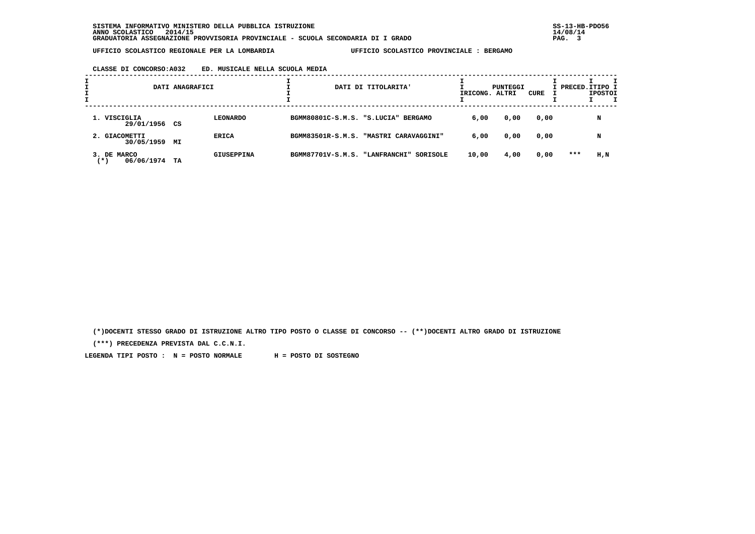# **CLASSE DI CONCORSO:A032 ED. MUSICALE NELLA SCUOLA MEDIA**

| ÷ |                                  | DATI ANAGRAFICI |                   |                                | DATI DI TITOLARITA'                    | IRICONG. ALTRI | PUNTEGGI | CURE |       | I PRECED. ITIPO I<br><b>IPOSTOI</b> |  |
|---|----------------------------------|-----------------|-------------------|--------------------------------|----------------------------------------|----------------|----------|------|-------|-------------------------------------|--|
|   | 1. VISCIGLIA<br>29/01/1956 CS    |                 | <b>LEONARDO</b>   |                                | BGMM80801C-S.M.S. "S.LUCIA" BERGAMO    | 6,00           | 0,00     | 0,00 |       | N                                   |  |
|   | 2. GIACOMETTI<br>30/05/1959      | МI              | ERICA             |                                | BGMM83501R-S.M.S. "MASTRI CARAVAGGINI" | 6,00           | 0,00     | 0,00 |       | N                                   |  |
|   | 3. DE MARCO<br>06/06/1974<br>(*) | TA              | <b>GIUSEPPINA</b> | BGMM87701V-S.M.S. "LANFRANCHI" | SORISOLE                               | 10,00          | 4,00     | 0,00 | $***$ | H,N                                 |  |

 **(\*)DOCENTI STESSO GRADO DI ISTRUZIONE ALTRO TIPO POSTO O CLASSE DI CONCORSO -- (\*\*)DOCENTI ALTRO GRADO DI ISTRUZIONE**

 **(\*\*\*) PRECEDENZA PREVISTA DAL C.C.N.I.**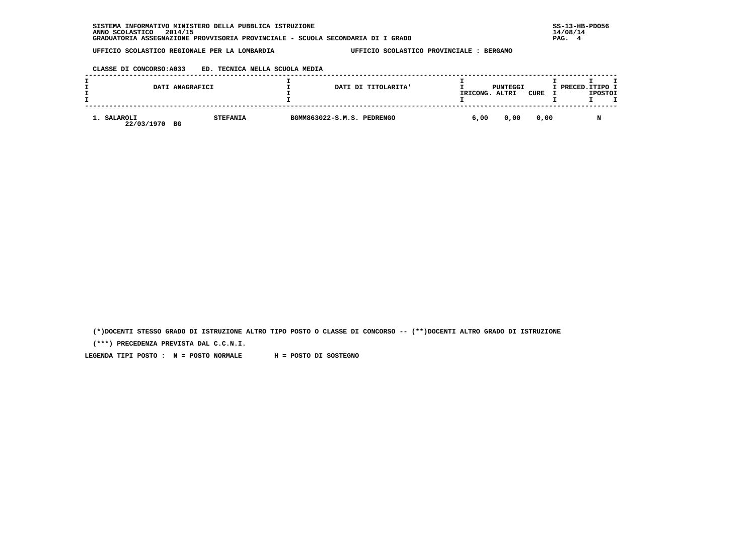# **CLASSE DI CONCORSO:A033 ED. TECNICA NELLA SCUOLA MEDIA**

|                           | DATI ANAGRAFICI       |                            | DATI DI TITOLARITA' | IRICONG. | PUNTEGGI<br>ALTRI | CURE | I PRECED. ITIPO I | <b>IPOSTOI</b> |  |
|---------------------------|-----------------------|----------------------------|---------------------|----------|-------------------|------|-------------------|----------------|--|
| 1. SALAROLI<br>22/03/1970 | <b>STEFANIA</b><br>BG | BGMM863022-S.M.S. PEDRENGO |                     | 6,00     | 0,00              | 0,00 |                   |                |  |

 **(\*)DOCENTI STESSO GRADO DI ISTRUZIONE ALTRO TIPO POSTO O CLASSE DI CONCORSO -- (\*\*)DOCENTI ALTRO GRADO DI ISTRUZIONE**

 **(\*\*\*) PRECEDENZA PREVISTA DAL C.C.N.I.**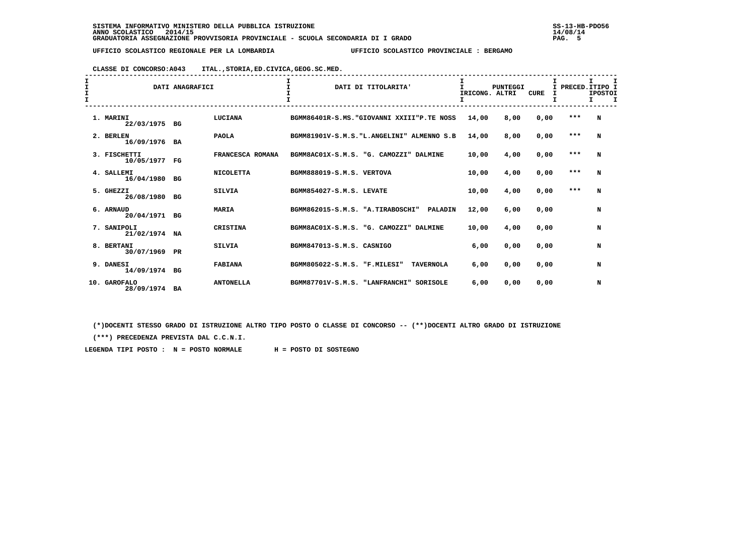# **CLASSE DI CONCORSO:A043 ITAL.,STORIA,ED.CIVICA,GEOG.SC.MED.**

| I<br>I<br>I.<br>$\mathbf{I}$ |                               | DATI ANAGRAFICI |                  | $\mathbf{T}$<br>DATI DI TITOLARITA'                | $\mathbf{I}$<br>IRICONG. ALTRI<br>I | <b>PUNTEGGI</b> | <b>CURE</b><br>I | I PRECED. ITIPO I | <b>IPOSTOI</b><br>Ι. | $\mathbf \tau$ |
|------------------------------|-------------------------------|-----------------|------------------|----------------------------------------------------|-------------------------------------|-----------------|------------------|-------------------|----------------------|----------------|
|                              | 1. MARINI<br>22/03/1975 BG    |                 | LUCIANA          | BGMM86401R-S.MS. "GIOVANNI XXIII"P.TE NOSS         | 14,00                               | 8,00            | 0,00             | $***$             | N                    |                |
|                              | 2. BERLEN<br>16/09/1976 BA    |                 | <b>PAOLA</b>     | BGMM81901V-S.M.S. "L.ANGELINI" ALMENNO S.B         | 14,00                               | 8,00            | 0,00             | $***$             | N                    |                |
|                              | 3. FISCHETTI<br>10/05/1977    | FG              | FRANCESCA ROMANA | BGMM8AC01X-S.M.S. "G. CAMOZZI" DALMINE             | 10,00                               | 4,00            | 0,00             | $* * *$           | N                    |                |
|                              | 4. SALLEMI<br>16/04/1980 BG   |                 | <b>NICOLETTA</b> | BGMM888019-S.M.S. VERTOVA                          | 10,00                               | 4,00            | 0,00             | $***$             | N                    |                |
|                              | 5. GHEZZI<br>26/08/1980       | BG              | <b>SILVIA</b>    | BGMM854027-S.M.S. LEVATE                           | 10,00                               | 4,00            | 0,00             | $***$             | N                    |                |
|                              | 6. ARNAUD<br>20/04/1971 BG    |                 | <b>MARIA</b>     | BGMM862015-S.M.S. "A.TIRABOSCHI"<br><b>PALADIN</b> | 12,00                               | 6,00            | 0.00             |                   | N                    |                |
|                              | 7. SANIPOLI<br>21/02/1974     | NA              | CRISTINA         | BGMM8AC01X-S.M.S. "G. CAMOZZI" DALMINE             | 10,00                               | 4,00            | 0.00             |                   | N                    |                |
|                              | 8. BERTANI<br>30/07/1969 PR   |                 | <b>SILVIA</b>    | BGMM847013-S.M.S. CASNIGO                          | 6,00                                | 0,00            | 0,00             |                   | N                    |                |
|                              | 9. DANESI<br>14/09/1974 BG    |                 | <b>FABIANA</b>   | BGMM805022-S.M.S. "F.MILESI"<br><b>TAVERNOLA</b>   | 6,00                                | 0,00            | 0.00             |                   | N                    |                |
|                              | 10. GAROFALO<br>28/09/1974 BA |                 | <b>ANTONELLA</b> | BGMM87701V-S.M.S. "LANFRANCHI"<br>SORISOLE         | 6,00                                | 0,00            | 0,00             |                   | N                    |                |

 **(\*)DOCENTI STESSO GRADO DI ISTRUZIONE ALTRO TIPO POSTO O CLASSE DI CONCORSO -- (\*\*)DOCENTI ALTRO GRADO DI ISTRUZIONE**

 **(\*\*\*) PRECEDENZA PREVISTA DAL C.C.N.I.**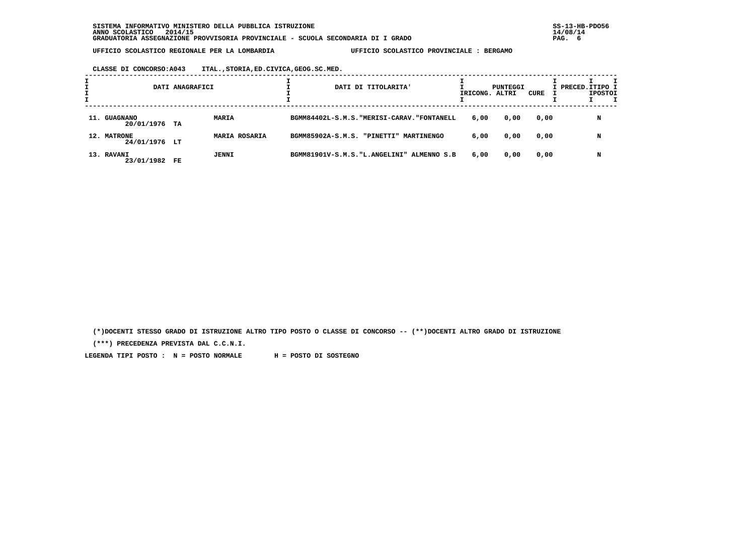**CLASSE DI CONCORSO:A043 ITAL.,STORIA,ED.CIVICA,GEOG.SC.MED.**

|                               | DATI ANAGRAFICI |                      |  | DATI DI TITOLARITA'                         | IRICONG. ALTRI | PUNTEGGI | CURE | I PRECED. ITIPO I | <b>IPOSTOI</b> |  |
|-------------------------------|-----------------|----------------------|--|---------------------------------------------|----------------|----------|------|-------------------|----------------|--|
| 11. GUAGNANO<br>20/01/1976 TA |                 | <b>MARIA</b>         |  | BGMM84402L-S.M.S. "MERISI-CARAV. "FONTANELL | 6,00           | 0,00     | 0,00 |                   | N              |  |
| 12. MATRONE<br>24/01/1976 LT  |                 | <b>MARIA ROSARIA</b> |  | BGMM85902A-S.M.S. "PINETTI" MARTINENGO      | 6,00           | 0,00     | 0,00 |                   | N              |  |
| 13. RAVANI<br>23/01/1982 FE   |                 | JENNI                |  | BGMM81901V-S.M.S. "L.ANGELINI" ALMENNO S.B  | 6,00           | 0,00     | 0,00 |                   | N              |  |

 **(\*)DOCENTI STESSO GRADO DI ISTRUZIONE ALTRO TIPO POSTO O CLASSE DI CONCORSO -- (\*\*)DOCENTI ALTRO GRADO DI ISTRUZIONE**

 **(\*\*\*) PRECEDENZA PREVISTA DAL C.C.N.I.**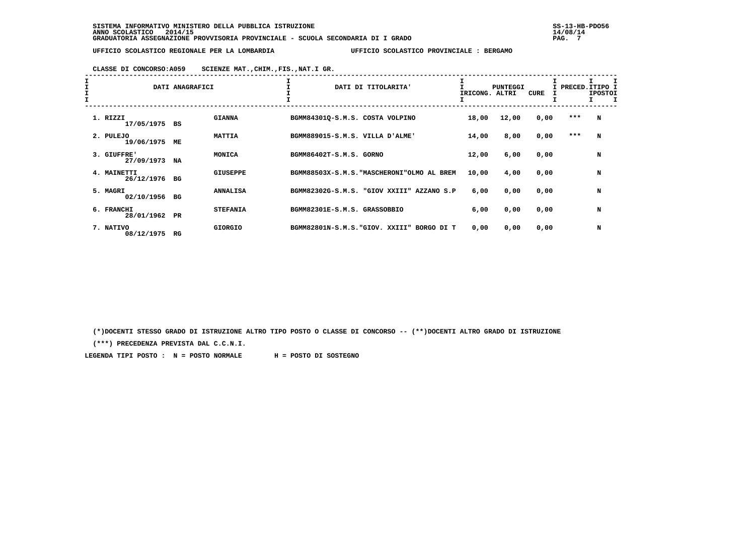# **CLASSE DI CONCORSO:A059 SCIENZE MAT.,CHIM.,FIS.,NAT.I GR.**

| $\mathbf{I}$ |                              | DATI ANAGRAFICI |                 |                                 | DATI DI TITOLARITA'                        | IRICONG. | <b>PUNTEGGI</b><br>ALTRI | CURE | I PRECED. ITIPO I | <b>IPOSTOI</b> |  |
|--------------|------------------------------|-----------------|-----------------|---------------------------------|--------------------------------------------|----------|--------------------------|------|-------------------|----------------|--|
|              | 1. RIZZI<br>17/05/1975       | BS              | <b>GIANNA</b>   | BGMM84301Q-S.M.S. COSTA VOLPINO |                                            | 18,00    | 12,00                    | 0,00 | ***               | N              |  |
|              | 2. PULEJO<br>19/06/1975      | МE              | <b>MATTIA</b>   | BGMM889015-S.M.S. VILLA D'ALME' |                                            | 14,00    | 8,00                     | 0,00 | $***$             | N              |  |
|              | 3. GIUFFRE'<br>27/09/1973    | NA              | MONICA          | BGMM86402T-S.M.S. GORNO         |                                            | 12,00    | 6,00                     | 0,00 |                   | N              |  |
|              | 4. MAINETTI<br>26/12/1976 BG |                 | <b>GIUSEPPE</b> |                                 | BGMM88503X-S.M.S. "MASCHERONI"OLMO AL BREM | 10,00    | 4,00                     | 0,00 |                   | N              |  |
|              | 5. MAGRI<br>02/10/1956       | вG              | <b>ANNALISA</b> |                                 | BGMM82302G-S.M.S. "GIOV XXIII" AZZANO S.P  | 6,00     | 0,00                     | 0,00 |                   | N              |  |
|              | 6. FRANCHI<br>28/01/1962     | PR              | <b>STEFANIA</b> | BGMM82301E-S.M.S. GRASSOBBIO    |                                            | 6,00     | 0,00                     | 0,00 |                   | N              |  |
|              | 7. NATIVO<br>08/12/1975      | RG              | <b>GIORGIO</b>  |                                 | BGMM82801N-S.M.S. "GIOV. XXIII" BORGO DI T | 0,00     | 0,00                     | 0,00 |                   | N              |  |

 **(\*)DOCENTI STESSO GRADO DI ISTRUZIONE ALTRO TIPO POSTO O CLASSE DI CONCORSO -- (\*\*)DOCENTI ALTRO GRADO DI ISTRUZIONE**

 **(\*\*\*) PRECEDENZA PREVISTA DAL C.C.N.I.**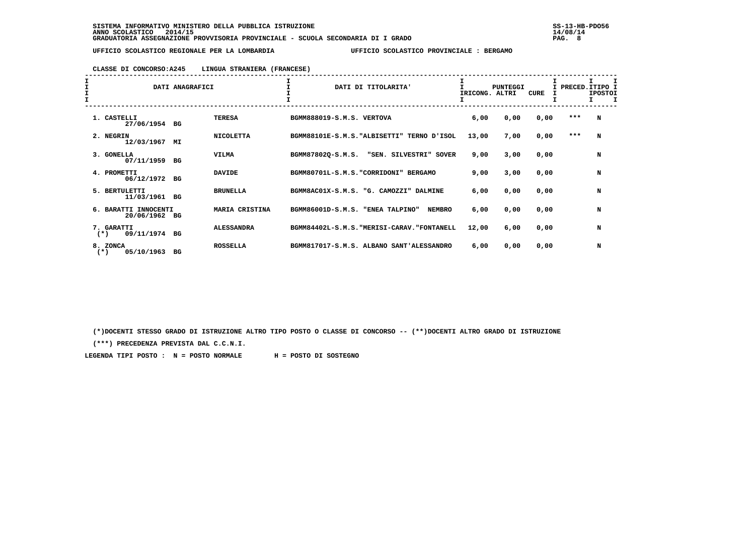### **CLASSE DI CONCORSO:A245 LINGUA STRANIERA (FRANCESE)**

| $\mathbf{I}$ |                                       | DATI ANAGRAFICI |                   |                                  | DATI DI TITOLARITA'                         | IRICONG. ALTRI | <b>PUNTEGGI</b> | <b>CURE</b> | I PRECED. ITIPO I | <b>IPOSTOI</b><br>$\mathbf I$ |
|--------------|---------------------------------------|-----------------|-------------------|----------------------------------|---------------------------------------------|----------------|-----------------|-------------|-------------------|-------------------------------|
|              | 1. CASTELLI<br>27/06/1954 BG          |                 | <b>TERESA</b>     | BGMM888019-S.M.S. VERTOVA        |                                             | 6,00           | 0,00            | 0,00        | $***$             | N                             |
|              | 2. NEGRIN<br>12/03/1967               | MI              | <b>NICOLETTA</b>  |                                  | BGMM88101E-S.M.S. "ALBISETTI" TERNO D'ISOL  | 13,00          | 7,00            | 0,00        | $* * *$           | N                             |
|              | 3. GONELLA<br>07/11/1959              | BG              | <b>VILMA</b>      | BGMM87802Q-S.M.S.                | "SEN. SILVESTRI" SOVER                      | 9,00           | 3,00            | 0,00        |                   | N                             |
|              | 4. PROMETTI<br>06/12/1972             | BG              | <b>DAVIDE</b>     |                                  | BGMM80701L-S.M.S. "CORRIDONI" BERGAMO       | 9,00           | 3,00            | 0,00        |                   | N                             |
|              | 5. BERTULETTI<br>11/03/1961           | BG              | <b>BRUNELLA</b>   | BGMM8AC01X-S.M.S.                | "G. CAMOZZI" DALMINE                        | 6,00           | 0,00            | 0,00        |                   | N                             |
|              | 6. BARATTI INNOCENTI<br>20/06/1962 BG |                 | MARIA CRISTINA    | BGMM86001D-S.M.S. "ENEA TALPINO" | <b>NEMBRO</b>                               | 6,00           | 0,00            | 0,00        |                   | N                             |
|              | 7. GARATTI<br>09/11/1974 BG<br>$(*)$  |                 | <b>ALESSANDRA</b> |                                  | BGMM84402L-S.M.S. "MERISI-CARAV. "FONTANELL | 12,00          | 6,00            | 0,00        |                   | N                             |
|              | 8. ZONCA<br>05/10/1963<br>$(*)$       | вG              | <b>ROSSELLA</b>   |                                  | BGMM817017-S.M.S. ALBANO SANT'ALESSANDRO    | 6,00           | 0,00            | 0,00        |                   | N                             |

 **(\*)DOCENTI STESSO GRADO DI ISTRUZIONE ALTRO TIPO POSTO O CLASSE DI CONCORSO -- (\*\*)DOCENTI ALTRO GRADO DI ISTRUZIONE**

 **(\*\*\*) PRECEDENZA PREVISTA DAL C.C.N.I.**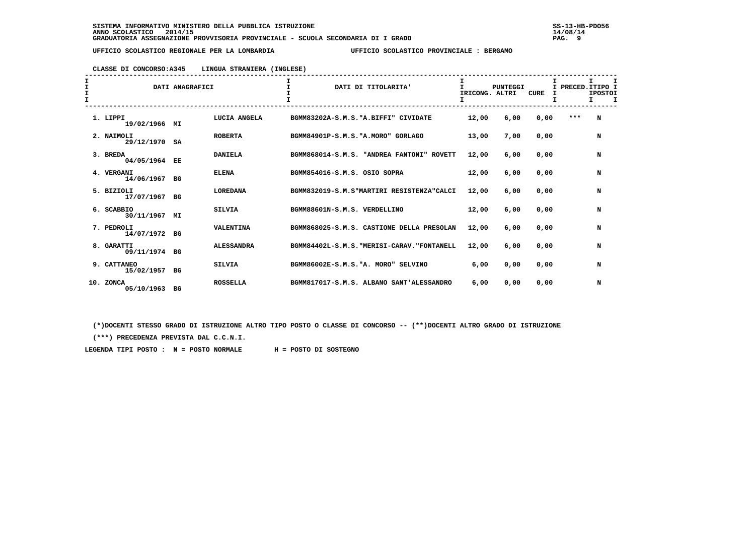### **CLASSE DI CONCORSO:A345 LINGUA STRANIERA (INGLESE)**

| I<br>I<br>$\mathbf{I}$ |                             | DATI ANAGRAFICI |                   |                                     | DATI DI TITOLARITA'                         | т<br>IRICONG. ALTRI<br>I | <b>PUNTEGGI</b> | <b>CURE</b><br>I | I   | I PRECED. ITIPO I<br><b>IPOSTOI</b><br>I.<br>I |
|------------------------|-----------------------------|-----------------|-------------------|-------------------------------------|---------------------------------------------|--------------------------|-----------------|------------------|-----|------------------------------------------------|
|                        | 1. LIPPI<br>19/02/1966      | MI              | LUCIA ANGELA      |                                     | BGMM83202A-S.M.S. "A.BIFFI" CIVIDATE        | 12,00                    | 6,00            | 0,00             | *** | N                                              |
|                        | 2. NAIMOLI<br>29/12/1970    | SA              | <b>ROBERTA</b>    | BGMM84901P-S.M.S. "A.MORO" GORLAGO  |                                             | 13,00                    | 7,00            | 0,00             |     | N                                              |
|                        | 3. BREDA<br>04/05/1964 EE   |                 | <b>DANIELA</b>    |                                     | BGMM868014-S.M.S. "ANDREA FANTONI" ROVETT   | 12,00                    | 6,00            | 0,00             |     | N                                              |
|                        | 4. VERGANI<br>14/06/1967    | BG              | <b>ELENA</b>      | BGMM854016-S.M.S. OSIO SOPRA        |                                             | 12,00                    | 6,00            | 0,00             |     | N                                              |
|                        | 5. BIZIOLI<br>17/07/1967    | BG              | <b>LOREDANA</b>   |                                     | BGMM832019-S.M.S"MARTIRI RESISTENZA"CALCI   | 12,00                    | 6,00            | 0.00             |     | N                                              |
|                        | 6. SCABBIO<br>30/11/1967    | MΙ              | <b>SILVIA</b>     | BGMM88601N-S.M.S. VERDELLINO        |                                             | 12,00                    | 6,00            | 0.00             |     | N                                              |
|                        | 7. PEDROLI<br>14/07/1972 BG |                 | <b>VALENTINA</b>  |                                     | BGMM868025-S.M.S. CASTIONE DELLA PRESOLAN   | 12,00                    | 6,00            | 0.00             |     | N                                              |
|                        | 8. GARATTI<br>09/11/1974 BG |                 | <b>ALESSANDRA</b> |                                     | BGMM84402L-S.M.S. "MERISI-CARAV. "FONTANELL | 12,00                    | 6,00            | 0,00             |     | N                                              |
|                        | 9. CATTANEO<br>15/02/1957   | BG              | <b>SILVIA</b>     | BGMM86002E-S.M.S. "A. MORO" SELVINO |                                             | 6,00                     | 0,00            | 0,00             |     | N                                              |
| 10.                    | <b>ZONCA</b><br>05/10/1963  | BG              | <b>ROSSELLA</b>   |                                     | BGMM817017-S.M.S. ALBANO SANT'ALESSANDRO    | 6,00                     | 0,00            | 0.00             |     | N                                              |

 **(\*)DOCENTI STESSO GRADO DI ISTRUZIONE ALTRO TIPO POSTO O CLASSE DI CONCORSO -- (\*\*)DOCENTI ALTRO GRADO DI ISTRUZIONE**

 **(\*\*\*) PRECEDENZA PREVISTA DAL C.C.N.I.**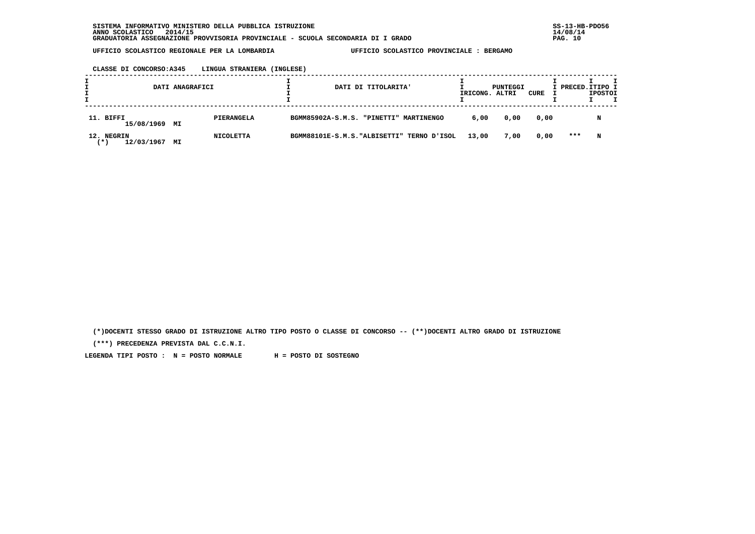**CLASSE DI CONCORSO:A345 LINGUA STRANIERA (INGLESE)**

|                                  | DATI ANAGRAFICI |            |                                            | DATI DI TITOLARITA' | IRICONG. ALTRI | PUNTEGGI | CURE | I PRECED.ITIPO I | <b>IPOSTOI</b> | т |
|----------------------------------|-----------------|------------|--------------------------------------------|---------------------|----------------|----------|------|------------------|----------------|---|
| 11. BIFFI<br>15/08/1969 MI       |                 | PIERANGELA | BGMM85902A-S.M.S. "PINETTI" MARTINENGO     |                     | 6,00           | 0,00     | 0.00 |                  | N              |   |
| 12. NEGRIN<br>12/03/1967<br>∵* ∖ | МI              | NICOLETTA  | BGMM88101E-S.M.S. "ALBISETTI" TERNO D'ISOL |                     | 13,00          | 7,00     | 0,00 | ***              | N              |   |

 **(\*)DOCENTI STESSO GRADO DI ISTRUZIONE ALTRO TIPO POSTO O CLASSE DI CONCORSO -- (\*\*)DOCENTI ALTRO GRADO DI ISTRUZIONE**

 **(\*\*\*) PRECEDENZA PREVISTA DAL C.C.N.I.**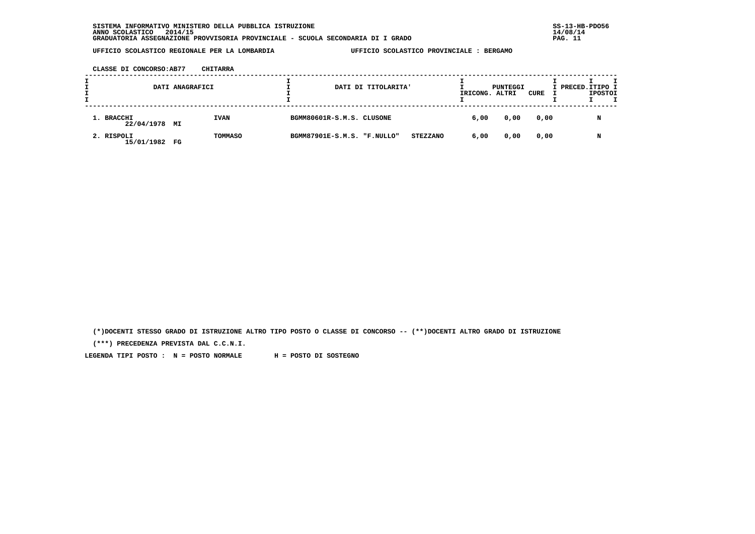**CLASSE DI CONCORSO:AB77 CHITARRA**

|                          | DATI ANAGRAFICI |             |                             | DATI DI TITOLARITA' |                 | IRICONG. ALTRI | PUNTEGGI | CURE | I PRECED.ITIPO I | <b>IPOSTOI</b> |  |
|--------------------------|-----------------|-------------|-----------------------------|---------------------|-----------------|----------------|----------|------|------------------|----------------|--|
| 1. BRACCHI<br>22/04/1978 | MI              | <b>IVAN</b> | BGMM80601R-S.M.S. CLUSONE   |                     |                 | 6,00           | 0,00     | 0,00 |                  | N              |  |
| 2. RISPOLI<br>15/01/1982 | FG              | TOMMASO     | BGMM87901E-S.M.S. "F.NULLO" |                     | <b>STEZZANO</b> | 6,00           | 0,00     | 0,00 |                  | N              |  |

 **(\*)DOCENTI STESSO GRADO DI ISTRUZIONE ALTRO TIPO POSTO O CLASSE DI CONCORSO -- (\*\*)DOCENTI ALTRO GRADO DI ISTRUZIONE**

 **(\*\*\*) PRECEDENZA PREVISTA DAL C.C.N.I.**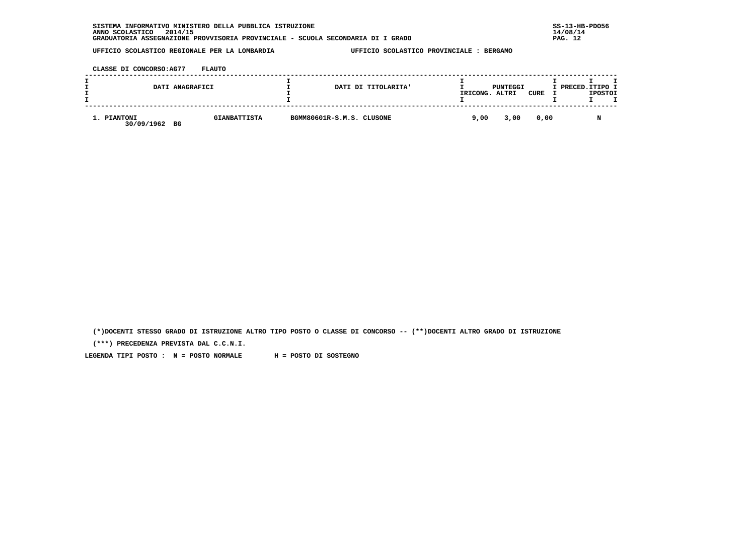| INFORMATIVO MINISTERO DELLA PUBBLICA ISTRUZIONE<br><b>SISTEMA</b>               | $SS-13-HE$ |
|---------------------------------------------------------------------------------|------------|
| 2014/15<br>ANNO SCOLASTICO                                                      | 14/08/14   |
| GRADUATORIA ASSEGNAZIONE PROVVISORIA PROVINCIALE - SCUOLA SECONDARIA DI I GRADO | PAG. 12    |

 **CLASSE DI CONCORSO:AG77 FLAUTO**

| DATI ANAGRAFICI                 |                     |                           | DATI DI TITOLARITA' | IRICONG. | PUNTEGGI<br>ALTRI | CURE | I PRECED.ITIPO I | <b>IPOSTOI</b> |  |
|---------------------------------|---------------------|---------------------------|---------------------|----------|-------------------|------|------------------|----------------|--|
| 1. PIANTONI<br>30/09/1962<br>BG | <b>GIANBATTISTA</b> | BGMM80601R-S.M.S. CLUSONE |                     | 9,00     | 3,00              | 0,00 |                  |                |  |

 **(\*)DOCENTI STESSO GRADO DI ISTRUZIONE ALTRO TIPO POSTO O CLASSE DI CONCORSO -- (\*\*)DOCENTI ALTRO GRADO DI ISTRUZIONE**

 **(\*\*\*) PRECEDENZA PREVISTA DAL C.C.N.I.**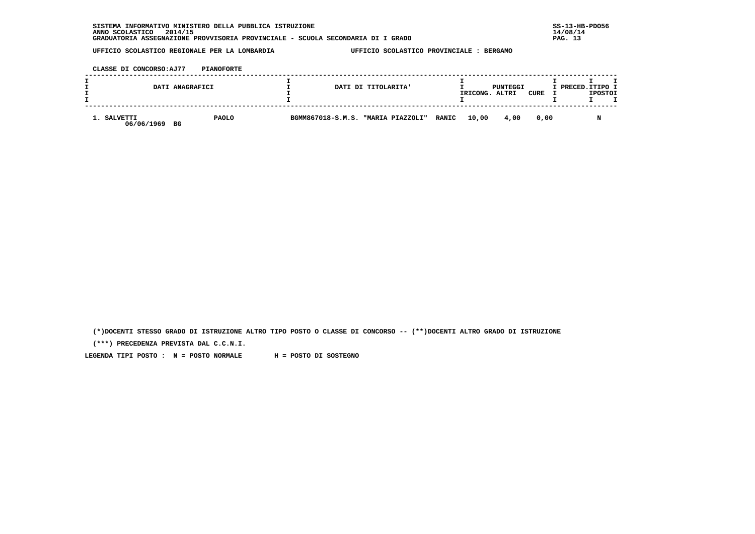| INFORMATIVO MINISTERO DELLA PUBBLICA ISTRUZIONE<br><b>SISTEMA</b>               | $SS-13-HE$ |
|---------------------------------------------------------------------------------|------------|
| 2014/15<br>ANNO SCOLASTICO                                                      | 14/08/14   |
| GRADUATORIA ASSEGNAZIONE PROVVISORIA PROVINCIALE - SCUOLA SECONDARIA DI I GRADO | PAG.       |

 **CLASSE DI CONCORSO:AJ77 PIANOFORTE**

| DATI ANAGRAFICI                 |              | DATI DI TITOLARITA' |                                          | PUNTEGGI<br>CURE<br>IRICONG.<br>ALTRI |      |      | I PRECED.ITIPO I | <b>IPOSTOI</b> |  |
|---------------------------------|--------------|---------------------|------------------------------------------|---------------------------------------|------|------|------------------|----------------|--|
| 1. SALVETTI<br>06/06/1969<br>BG | <b>PAOLO</b> |                     | BGMM867018-S.M.S. "MARIA PIAZZOLI" RANIC | 10,00                                 | 4,00 | 0.00 |                  |                |  |

 **(\*)DOCENTI STESSO GRADO DI ISTRUZIONE ALTRO TIPO POSTO O CLASSE DI CONCORSO -- (\*\*)DOCENTI ALTRO GRADO DI ISTRUZIONE**

 **(\*\*\*) PRECEDENZA PREVISTA DAL C.C.N.I.**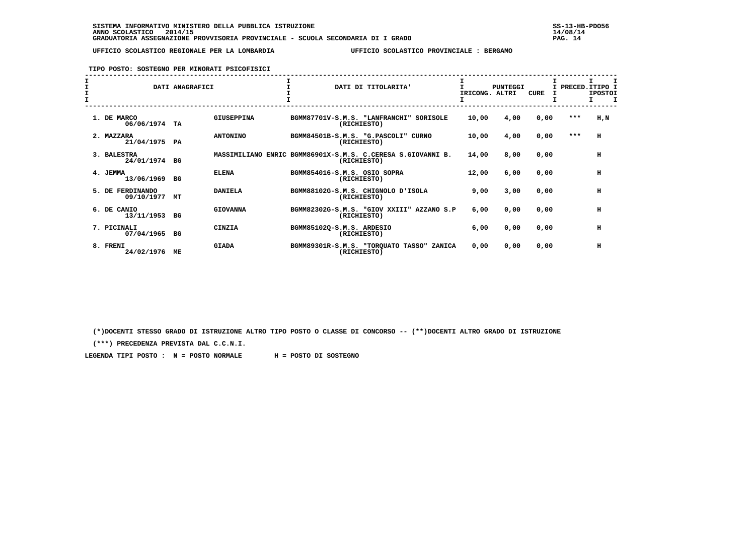**TIPO POSTO: SOSTEGNO PER MINORATI PSICOFISICI**

|  |                                | DATI ANAGRAFICI |                 |  | DATI DI TITOLARITA'                                                        |               | IRICONG. ALTRI | PUNTEGGI | <b>CURE</b> | PRECED. ITIPO I | <b>IPOSTOI</b> |  |
|--|--------------------------------|-----------------|-----------------|--|----------------------------------------------------------------------------|---------------|----------------|----------|-------------|-----------------|----------------|--|
|  | 1. DE MARCO<br>06/06/1974      | TA              | GIUSEPPINA      |  | BGMM87701V-S.M.S. "LANFRANCHI"<br>SORISOLE<br>(RICHIESTO)                  |               | 10,00          | 4,00     | 0,00        | ***             | H, N           |  |
|  | 2. MAZZARA<br>21/04/1975       | PA              | <b>ANTONINO</b> |  | BGMM84501B-S.M.S. "G.PASCOLI" CURNO<br>(RICHIESTO)                         |               | 10,00          | 4,00     | 0,00        | $***$           | н              |  |
|  | 3. BALESTRA<br>24/01/1974      | BG              |                 |  | MASSIMILIANO ENRIC BGMM86901X-S.M.S. C.CERESA S.GIOVANNI B.<br>(RICHIESTO) |               | 14,00          | 8,00     | 0,00        |                 | н              |  |
|  | 4. JEMMA<br>13/06/1969         | BG              | <b>ELENA</b>    |  | BGMM854016-S.M.S. OSIO SOPRA<br>(RICHIESTO)                                |               | 12,00          | 6,00     | 0,00        |                 | н              |  |
|  | 5. DE FERDINANDO<br>09/10/1977 | МT              | <b>DANIELA</b>  |  | BGMM88102G-S.M.S. CHIGNOLO D'ISOLA<br>(RICHIESTO)                          |               | 9,00           | 3,00     | 0,00        |                 | н              |  |
|  | 6. DE CANIO<br>13/11/1953      | <b>BG</b>       | <b>GIOVANNA</b> |  | BGMM82302G-S.M.S. "GIOV XXIII" AZZANO S.P<br>(RICHIESTO)                   |               | 6,00           | 0,00     | 0,00        |                 | н              |  |
|  | 7. PICINALI<br>07/04/1965      | BG              | <b>CINZIA</b>   |  | BGMM85102Q-S.M.S. ARDESIO<br>(RICHIESTO)                                   |               | 6,00           | 0,00     | 0,00        |                 | н              |  |
|  | 8. FRENI<br>24/02/1976         | ME              | <b>GIADA</b>    |  | BGMM89301R-S.M.S. "TORQUATO TASSO"<br>(RICHIESTO)                          | <b>ZANICA</b> | 0,00           | 0,00     | 0,00        |                 | H              |  |

 **(\*)DOCENTI STESSO GRADO DI ISTRUZIONE ALTRO TIPO POSTO O CLASSE DI CONCORSO -- (\*\*)DOCENTI ALTRO GRADO DI ISTRUZIONE**

 **(\*\*\*) PRECEDENZA PREVISTA DAL C.C.N.I.**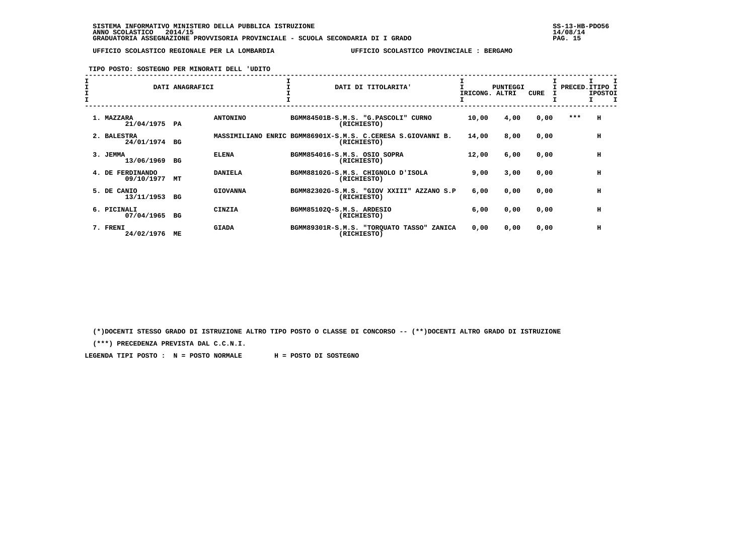**TIPO POSTO: SOSTEGNO PER MINORATI DELL 'UDITO**

| $\mathbf{I}$ | DATI ANAGRAFICI                      |                 |                           | DATI DI TITOLARITA'                                                        | IRICONG. ALTRI | PUNTEGGI | <b>CURE</b> |         | I PRECED. ITIPO I<br><b>IPOSTOI</b><br>I<br>т |
|--------------|--------------------------------------|-----------------|---------------------------|----------------------------------------------------------------------------|----------------|----------|-------------|---------|-----------------------------------------------|
|              | 1. MAZZARA<br>21/04/1975 PA          | <b>ANTONINO</b> |                           | BGMM84501B-S.M.S. "G.PASCOLI" CURNO<br>(RICHIESTO)                         | 10,00          | 4,00     | 0,00        | $* * *$ | H                                             |
|              | 2. BALESTRA<br>24/01/1974<br>BG      |                 |                           | MASSIMILIANO ENRIC BGMM86901X-S.M.S. C.CERESA S.GIOVANNI B.<br>(RICHIESTO) | 14,00          | 8,00     | 0,00        |         | H                                             |
|              | 3. JEMMA<br>13/06/1969<br>BG         | <b>ELENA</b>    |                           | BGMM854016-S.M.S. OSIO SOPRA<br>(RICHIESTO)                                | 12,00          | 6,00     | 0,00        |         | H                                             |
|              | 4. DE FERDINANDO<br>09/10/1977<br>МT | <b>DANIELA</b>  |                           | BGMM88102G-S.M.S. CHIGNOLO D'ISOLA<br>(RICHIESTO)                          | 9,00           | 3,00     | 0,00        |         | H                                             |
|              | 5. DE CANIO<br>13/11/1953<br>BG      | <b>GIOVANNA</b> |                           | BGMM82302G-S.M.S. "GIOV XXIII" AZZANO S.P<br>(RICHIESTO)                   | 6,00           | 0,00     | 0,00        |         | H                                             |
|              | 6. PICINALI<br>07/04/1965<br>BG      | <b>CINZIA</b>   | BGMM85102Q-S.M.S. ARDESIO | (RICHIESTO)                                                                | 6,00           | 0,00     | 0,00        |         | H                                             |
|              | 7. FRENI<br>24/02/1976<br>MЕ         | <b>GIADA</b>    |                           | BGMM89301R-S.M.S. "TORQUATO TASSO" ZANICA<br>(RICHIESTO)                   | 0,00           | 0,00     | 0,00        |         | H                                             |

 **(\*)DOCENTI STESSO GRADO DI ISTRUZIONE ALTRO TIPO POSTO O CLASSE DI CONCORSO -- (\*\*)DOCENTI ALTRO GRADO DI ISTRUZIONE**

 **(\*\*\*) PRECEDENZA PREVISTA DAL C.C.N.I.**